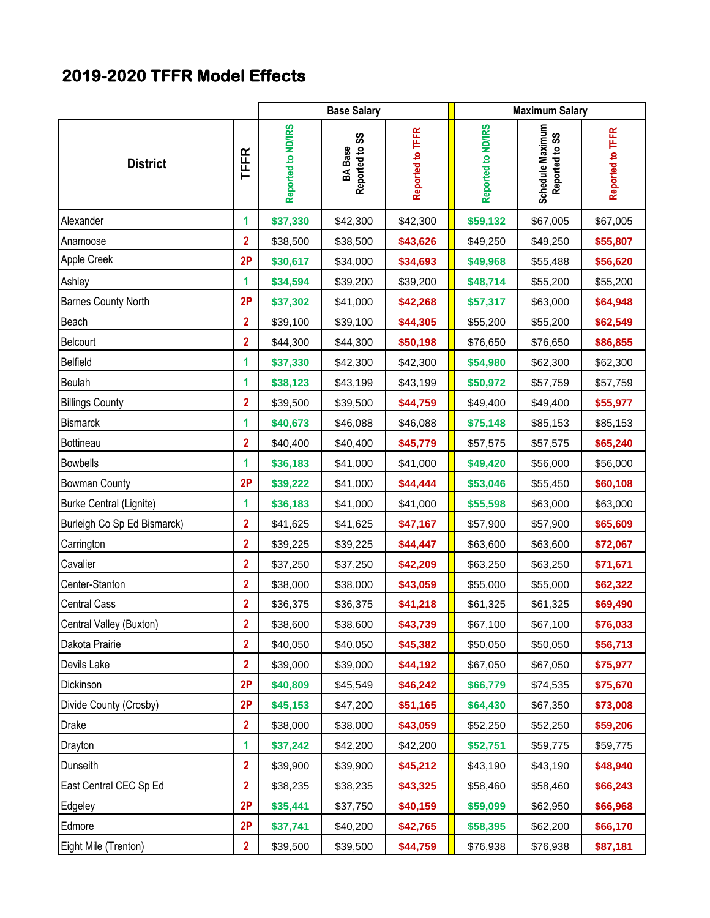## **2019-2020 TFFR Model Effects**

|                             |                         |                    | <b>Base Salary</b>               |                  | <b>Maximum Salary</b> |                                    |                  |
|-----------------------------|-------------------------|--------------------|----------------------------------|------------------|-----------------------|------------------------------------|------------------|
| <b>District</b>             | <b>TFFR</b>             | Reported to ND/IRS | Reported to SS<br><b>BA</b> Base | Reported to TFFR | Reported to ND/IRS    | Schedule Maximum<br>Reported to SS | Reported to TFFR |
| Alexander                   | 1                       | \$37,330           | \$42,300                         | \$42,300         | \$59,132              | \$67,005                           | \$67,005         |
| Anamoose                    | $\overline{2}$          | \$38,500           | \$38,500                         | \$43,626         | \$49,250              | \$49,250                           | \$55,807         |
| Apple Creek                 | 2P                      | \$30,617           | \$34,000                         | \$34,693         | \$49,968              | \$55,488                           | \$56,620         |
| Ashley                      | 1                       | \$34,594           | \$39,200                         | \$39,200         | \$48,714              | \$55,200                           | \$55,200         |
| <b>Barnes County North</b>  | 2P                      | \$37,302           | \$41,000                         | \$42,268         | \$57,317              | \$63,000                           | \$64,948         |
| Beach                       | $\overline{2}$          | \$39,100           | \$39,100                         | \$44,305         | \$55,200              | \$55,200                           | \$62,549         |
| Belcourt                    | $\overline{2}$          | \$44,300           | \$44,300                         | \$50,198         | \$76,650              | \$76,650                           | \$86,855         |
| Belfield                    | 1                       | \$37,330           | \$42,300                         | \$42,300         | \$54,980              | \$62,300                           | \$62,300         |
| Beulah                      | 1                       | \$38,123           | \$43,199                         | \$43,199         | \$50,972              | \$57,759                           | \$57,759         |
| <b>Billings County</b>      | $\overline{\mathbf{2}}$ | \$39,500           | \$39,500                         | \$44,759         | \$49,400              | \$49,400                           | \$55,977         |
| <b>Bismarck</b>             | 1                       | \$40,673           | \$46,088                         | \$46,088         | \$75,148              | \$85,153                           | \$85,153         |
| Bottineau                   | $\overline{2}$          | \$40,400           | \$40,400                         | \$45,779         | \$57,575              | \$57,575                           | \$65,240         |
| <b>Bowbells</b>             | 1                       | \$36,183           | \$41,000                         | \$41,000         | \$49,420              | \$56,000                           | \$56,000         |
| <b>Bowman County</b>        | 2P                      | \$39,222           | \$41,000                         | \$44,444         | \$53,046              | \$55,450                           | \$60,108         |
| Burke Central (Lignite)     | 1                       | \$36,183           | \$41,000                         | \$41,000         | \$55,598              | \$63,000                           | \$63,000         |
| Burleigh Co Sp Ed Bismarck) | $\overline{2}$          | \$41,625           | \$41,625                         | \$47,167         | \$57,900              | \$57,900                           | \$65,609         |
| Carrington                  | $\overline{2}$          | \$39,225           | \$39,225                         | \$44,447         | \$63,600              | \$63,600                           | \$72,067         |
| Cavalier                    | $\overline{2}$          | \$37,250           | \$37,250                         | \$42,209         | \$63,250              | \$63,250                           | \$71,671         |
| Center-Stanton              | $\overline{\mathbf{2}}$ | \$38,000           | \$38,000                         | \$43,059         | \$55,000              | \$55,000                           | \$62,322         |
| <b>Central Cass</b>         | $\overline{\mathbf{2}}$ | \$36,375           | \$36,375                         | \$41,218         | \$61,325              | \$61,325                           | \$69,490         |
| Central Valley (Buxton)     | $\overline{\mathbf{2}}$ | \$38,600           | \$38,600                         | \$43,739         | \$67,100              | \$67,100                           | \$76,033         |
| Dakota Prairie              | $\overline{2}$          | \$40,050           | \$40,050                         | \$45,382         | \$50,050              | \$50,050                           | \$56,713         |
| Devils Lake                 | 2                       | \$39,000           | \$39,000                         | \$44,192         | \$67,050              | \$67,050                           | \$75,977         |
| Dickinson                   | 2P                      | \$40,809           | \$45,549                         | \$46,242         | \$66,779              | \$74,535                           | \$75,670         |
| Divide County (Crosby)      | 2P                      | \$45,153           | \$47,200                         | \$51,165         | \$64,430              | \$67,350                           | \$73,008         |
| <b>Drake</b>                | $\overline{2}$          | \$38,000           | \$38,000                         | \$43,059         | \$52,250              | \$52,250                           | \$59,206         |
| Drayton                     | 1                       | \$37,242           | \$42,200                         | \$42,200         | \$52,751              | \$59,775                           | \$59,775         |
| Dunseith                    | $\overline{2}$          | \$39,900           | \$39,900                         | \$45,212         | \$43,190              | \$43,190                           | \$48,940         |
| East Central CEC Sp Ed      | 2                       | \$38,235           | \$38,235                         | \$43,325         | \$58,460              | \$58,460                           | \$66,243         |
| Edgeley                     | 2P                      | \$35,441           | \$37,750                         | \$40,159         | \$59,099              | \$62,950                           | \$66,968         |
| Edmore                      | 2P                      | \$37,741           | \$40,200                         | \$42,765         | \$58,395              | \$62,200                           | \$66,170         |
| Eight Mile (Trenton)        | $\overline{2}$          | \$39,500           | \$39,500                         | \$44,759         | \$76,938              | \$76,938                           | \$87,181         |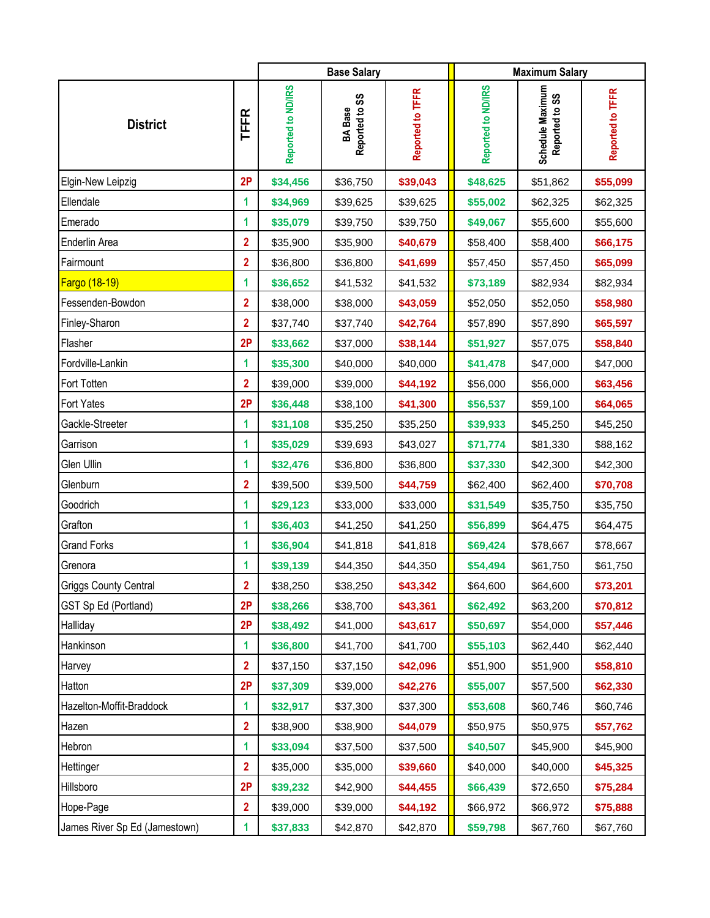|                               |                |                    | <b>Base Salary</b>               |                  | <b>Maximum Salary</b> |                                    |                  |
|-------------------------------|----------------|--------------------|----------------------------------|------------------|-----------------------|------------------------------------|------------------|
| <b>District</b>               | <b>TFFR</b>    | Reported to ND/IRS | Reported to SS<br><b>BA</b> Base | Reported to TFFR | Reported to ND/IRS    | Schedule Maximum<br>Reported to SS | Reported to TFFR |
| Elgin-New Leipzig             | 2P             | \$34,456           | \$36,750                         | \$39,043         | \$48,625              | \$51,862                           | \$55,099         |
| Ellendale                     | 1              | \$34,969           | \$39,625                         | \$39,625         | \$55,002              | \$62,325                           | \$62,325         |
| Emerado                       | 1              | \$35,079           | \$39,750                         | \$39,750         | \$49,067              | \$55,600                           | \$55,600         |
| Enderlin Area                 | $\overline{2}$ | \$35,900           | \$35,900                         | \$40,679         | \$58,400              | \$58,400                           | \$66,175         |
| Fairmount                     | $\overline{2}$ | \$36,800           | \$36,800                         | \$41,699         | \$57,450              | \$57,450                           | \$65,099         |
| <b>Fargo (18-19)</b>          | 1              | \$36,652           | \$41,532                         | \$41,532         | \$73,189              | \$82,934                           | \$82,934         |
| Fessenden-Bowdon              | $\overline{2}$ | \$38,000           | \$38,000                         | \$43,059         | \$52,050              | \$52,050                           | \$58,980         |
| Finley-Sharon                 | $\mathbf{2}$   | \$37,740           | \$37,740                         | \$42,764         | \$57,890              | \$57,890                           | \$65,597         |
| Flasher                       | 2P             | \$33,662           | \$37,000                         | \$38,144         | \$51,927              | \$57,075                           | \$58,840         |
| Fordville-Lankin              | 1              | \$35,300           | \$40,000                         | \$40,000         | \$41,478              | \$47,000                           | \$47,000         |
| Fort Totten                   | $\overline{2}$ | \$39,000           | \$39,000                         | \$44,192         | \$56,000              | \$56,000                           | \$63,456         |
| <b>Fort Yates</b>             | 2P             | \$36,448           | \$38,100                         | \$41,300         | \$56,537              | \$59,100                           | \$64,065         |
| Gackle-Streeter               | 1              | \$31,108           | \$35,250                         | \$35,250         | \$39,933              | \$45,250                           | \$45,250         |
| Garrison                      | 1              | \$35,029           | \$39,693                         | \$43,027         | \$71,774              | \$81,330                           | \$88,162         |
| Glen Ullin                    | 1              | \$32,476           | \$36,800                         | \$36,800         | \$37,330              | \$42,300                           | \$42,300         |
| Glenburn                      | $\overline{2}$ | \$39,500           | \$39,500                         | \$44,759         | \$62,400              | \$62,400                           | \$70,708         |
| Goodrich                      | 1              | \$29,123           | \$33,000                         | \$33,000         | \$31,549              | \$35,750                           | \$35,750         |
| Grafton                       | 1              | \$36,403           | \$41,250                         | \$41,250         | \$56,899              | \$64,475                           | \$64,475         |
| <b>Grand Forks</b>            | 1              | \$36,904           | \$41,818                         | \$41,818         | \$69,424              | \$78,667                           | \$78,667         |
| Grenora                       | 1              | \$39,139           | \$44,350                         | \$44,350         | \$54,494              | \$61,750                           | \$61,750         |
| Griggs County Central         | $\overline{2}$ | \$38,250           | \$38,250                         | \$43,342         | \$64,600              | \$64,600                           | \$73,201         |
| GST Sp Ed (Portland)          | 2P             | \$38,266           | \$38,700                         | \$43,361         | \$62,492              | \$63,200                           | \$70,812         |
| Halliday                      | 2P             | \$38,492           | \$41,000                         | \$43,617         | \$50,697              | \$54,000                           | \$57,446         |
| Hankinson                     | 1              | \$36,800           | \$41,700                         | \$41,700         | \$55,103              | \$62,440                           | \$62,440         |
| Harvey                        | $\mathbf{2}$   | \$37,150           | \$37,150                         | \$42,096         | \$51,900              | \$51,900                           | \$58,810         |
| Hatton                        | 2P             | \$37,309           | \$39,000                         | \$42,276         | \$55,007              | \$57,500                           | \$62,330         |
| Hazelton-Moffit-Braddock      | 1              | \$32,917           | \$37,300                         | \$37,300         | \$53,608              | \$60,746                           | \$60,746         |
| Hazen                         | $\overline{2}$ | \$38,900           | \$38,900                         | \$44,079         | \$50,975              | \$50,975                           | \$57,762         |
| Hebron                        | 1              | \$33,094           | \$37,500                         | \$37,500         | \$40,507              | \$45,900                           | \$45,900         |
| Hettinger                     | $\overline{2}$ | \$35,000           | \$35,000                         | \$39,660         | \$40,000              | \$40,000                           | \$45,325         |
| Hillsboro                     | 2P             | \$39,232           | \$42,900                         | \$44,455         | \$66,439              | \$72,650                           | \$75,284         |
| Hope-Page                     | $\overline{2}$ | \$39,000           | \$39,000                         | \$44,192         | \$66,972              | \$66,972                           | \$75,888         |
| James River Sp Ed (Jamestown) | 1.             | \$37,833           | \$42,870                         | \$42,870         | \$59,798              | \$67,760                           | \$67,760         |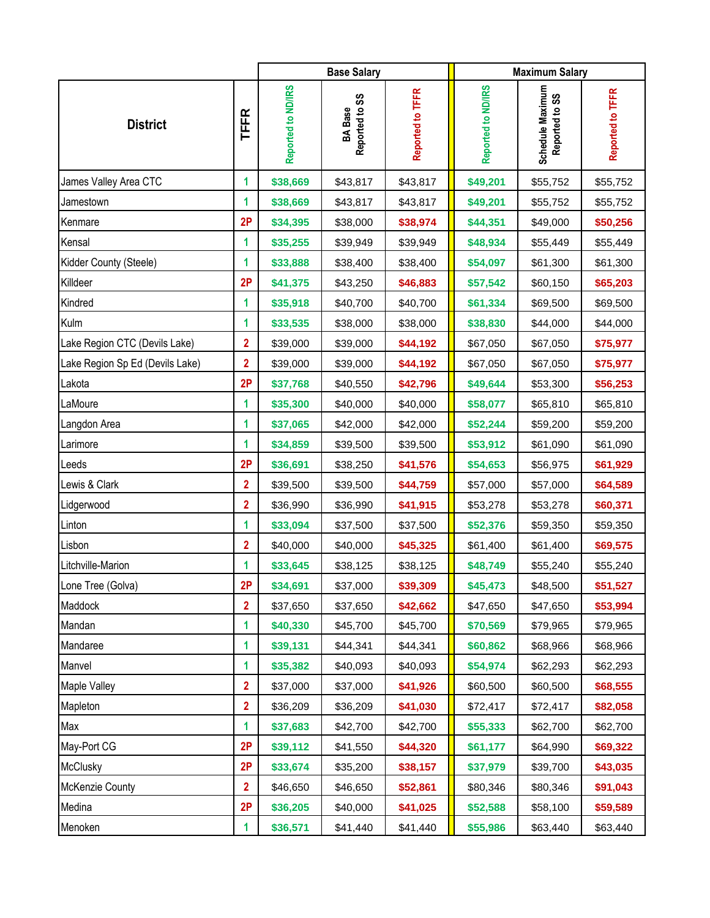|                                 |                         |                    | <b>Base Salary</b>               |                  | <b>Maximum Salary</b> |                                    |                  |
|---------------------------------|-------------------------|--------------------|----------------------------------|------------------|-----------------------|------------------------------------|------------------|
| <b>District</b>                 | <b>TFFR</b>             | Reported to ND/IRS | Reported to SS<br><b>BA</b> Base | Reported to TFFR | Reported to ND/IRS    | Schedule Maximum<br>Reported to SS | Reported to TFFR |
| James Valley Area CTC           | 1                       | \$38,669           | \$43,817                         | \$43,817         | \$49,201              | \$55,752                           | \$55,752         |
| Jamestown                       | 1                       | \$38,669           | \$43,817                         | \$43,817         | \$49,201              | \$55,752                           | \$55,752         |
| Kenmare                         | 2P                      | \$34,395           | \$38,000                         | \$38,974         | \$44,351              | \$49,000                           | \$50,256         |
| Kensal                          | 1                       | \$35,255           | \$39,949                         | \$39,949         | \$48,934              | \$55,449                           | \$55,449         |
| Kidder County (Steele)          | 1                       | \$33,888           | \$38,400                         | \$38,400         | \$54,097              | \$61,300                           | \$61,300         |
| Killdeer                        | 2P                      | \$41,375           | \$43,250                         | \$46,883         | \$57,542              | \$60,150                           | \$65,203         |
| Kindred                         | 1                       | \$35,918           | \$40,700                         | \$40,700         | \$61,334              | \$69,500                           | \$69,500         |
| Kulm                            | 1                       | \$33,535           | \$38,000                         | \$38,000         | \$38,830              | \$44,000                           | \$44,000         |
| Lake Region CTC (Devils Lake)   | $\overline{\mathbf{2}}$ | \$39,000           | \$39,000                         | \$44,192         | \$67,050              | \$67,050                           | \$75,977         |
| Lake Region Sp Ed (Devils Lake) | $\overline{2}$          | \$39,000           | \$39,000                         | \$44,192         | \$67,050              | \$67,050                           | \$75,977         |
| Lakota                          | 2P                      | \$37,768           | \$40,550                         | \$42,796         | \$49,644              | \$53,300                           | \$56,253         |
| LaMoure                         | 1                       | \$35,300           | \$40,000                         | \$40,000         | \$58,077              | \$65,810                           | \$65,810         |
| Langdon Area                    | 1                       | \$37,065           | \$42,000                         | \$42,000         | \$52,244              | \$59,200                           | \$59,200         |
| Larimore                        | 1                       | \$34,859           | \$39,500                         | \$39,500         | \$53,912              | \$61,090                           | \$61,090         |
| Leeds                           | 2P                      | \$36,691           | \$38,250                         | \$41,576         | \$54,653              | \$56,975                           | \$61,929         |
| Lewis & Clark                   | $\overline{2}$          | \$39,500           | \$39,500                         | \$44,759         | \$57,000              | \$57,000                           | \$64,589         |
| Lidgerwood                      | $\overline{\mathbf{2}}$ | \$36,990           | \$36,990                         | \$41,915         | \$53,278              | \$53,278                           | \$60,371         |
| Linton                          | 1                       | \$33,094           | \$37,500                         | \$37,500         | \$52,376              | \$59,350                           | \$59,350         |
| Lisbon                          | $\overline{\mathbf{2}}$ | \$40,000           | \$40,000                         | \$45,325         | \$61,400              | \$61,400                           | \$69,575         |
| Litchville-Marion               | 1                       | \$33,645           | \$38,125                         | \$38,125         | \$48,749              | \$55,240                           | \$55,240         |
| Lone Tree (Golva)               | 2P                      | \$34,691           | \$37,000                         | \$39,309         | \$45,473              | \$48,500                           | \$51,527         |
| Maddock                         | $\overline{2}$          | \$37,650           | \$37,650                         | \$42,662         | \$47,650              | \$47,650                           | \$53,994         |
| Mandan                          | 1                       | \$40,330           | \$45,700                         | \$45,700         | \$70,569              | \$79,965                           | \$79,965         |
| Mandaree                        | 1                       | \$39,131           | \$44,341                         | \$44,341         | \$60,862              | \$68,966                           | \$68,966         |
| Manvel                          | 1                       | \$35,382           | \$40,093                         | \$40,093         | \$54,974              | \$62,293                           | \$62,293         |
| Maple Valley                    | $\overline{2}$          | \$37,000           | \$37,000                         | \$41,926         | \$60,500              | \$60,500                           | \$68,555         |
| Mapleton                        | $\overline{2}$          | \$36,209           | \$36,209                         | \$41,030         | \$72,417              | \$72,417                           | \$82,058         |
| Max                             | 1                       | \$37,683           | \$42,700                         | \$42,700         | \$55,333              | \$62,700                           | \$62,700         |
| May-Port CG                     | 2P                      | \$39,112           | \$41,550                         | \$44,320         | \$61,177              | \$64,990                           | \$69,322         |
| McClusky                        | 2P                      | \$33,674           | \$35,200                         | \$38,157         | \$37,979              | \$39,700                           | \$43,035         |
| <b>McKenzie County</b>          | $\mathbf{2}$            | \$46,650           | \$46,650                         | \$52,861         | \$80,346              | \$80,346                           | \$91,043         |
| Medina                          | 2P                      | \$36,205           | \$40,000                         | \$41,025         | \$52,588              | \$58,100                           | \$59,589         |
| Menoken                         | 1                       | \$36,571           | \$41,440                         | \$41,440         | \$55,986              | \$63,440                           | \$63,440         |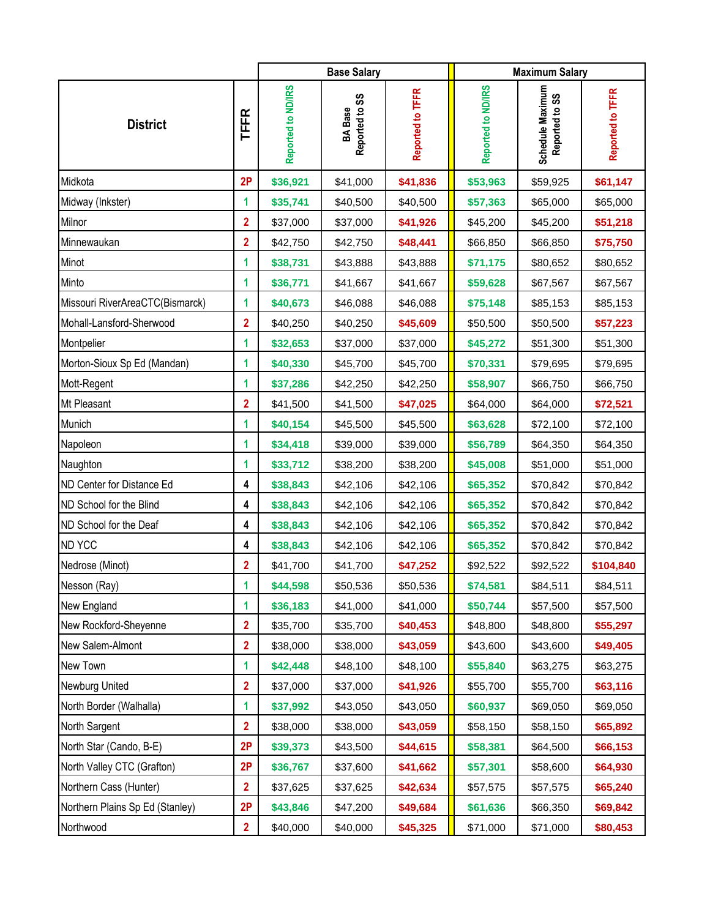|                                 |                         |                    | <b>Base Salary</b>               |                  | <b>Maximum Salary</b> |                                    |                  |
|---------------------------------|-------------------------|--------------------|----------------------------------|------------------|-----------------------|------------------------------------|------------------|
| <b>District</b>                 | <b>TFFR</b>             | Reported to ND/IRS | Reported to SS<br><b>BA</b> Base | Reported to TFFR | Reported to ND/IRS    | Schedule Maximum<br>Reported to SS | Reported to TFFR |
| Midkota                         | 2P                      | \$36,921           | \$41,000                         | \$41,836         | \$53,963              | \$59,925                           | \$61,147         |
| Midway (Inkster)                | 1                       | \$35,741           | \$40,500                         | \$40,500         | \$57,363              | \$65,000                           | \$65,000         |
| Milnor                          | $\overline{2}$          | \$37,000           | \$37,000                         | \$41,926         | \$45,200              | \$45,200                           | \$51,218         |
| Minnewaukan                     | $\overline{\mathbf{2}}$ | \$42,750           | \$42,750                         | \$48,441         | \$66,850              | \$66,850                           | \$75,750         |
| Minot                           | 1                       | \$38,731           | \$43,888                         | \$43,888         | \$71,175              | \$80,652                           | \$80,652         |
| Minto                           | 1                       | \$36,771           | \$41,667                         | \$41,667         | \$59,628              | \$67,567                           | \$67,567         |
| Missouri RiverAreaCTC(Bismarck) | 1                       | \$40,673           | \$46,088                         | \$46,088         | \$75,148              | \$85,153                           | \$85,153         |
| Mohall-Lansford-Sherwood        | $\overline{\mathbf{2}}$ | \$40,250           | \$40,250                         | \$45,609         | \$50,500              | \$50,500                           | \$57,223         |
| Montpelier                      | 1                       | \$32,653           | \$37,000                         | \$37,000         | \$45,272              | \$51,300                           | \$51,300         |
| Morton-Sioux Sp Ed (Mandan)     | 1                       | \$40,330           | \$45,700                         | \$45,700         | \$70,331              | \$79,695                           | \$79,695         |
| Mott-Regent                     | 1                       | \$37,286           | \$42,250                         | \$42,250         | \$58,907              | \$66,750                           | \$66,750         |
| Mt Pleasant                     | $\overline{2}$          | \$41,500           | \$41,500                         | \$47,025         | \$64,000              | \$64,000                           | \$72,521         |
| Munich                          | 1                       | \$40,154           | \$45,500                         | \$45,500         | \$63,628              | \$72,100                           | \$72,100         |
| Napoleon                        | $\mathbf{1}$            | \$34,418           | \$39,000                         | \$39,000         | \$56,789              | \$64,350                           | \$64,350         |
| Naughton                        | 1                       | \$33,712           | \$38,200                         | \$38,200         | \$45,008              | \$51,000                           | \$51,000         |
| ND Center for Distance Ed       | 4                       | \$38,843           | \$42,106                         | \$42,106         | \$65,352              | \$70,842                           | \$70,842         |
| ND School for the Blind         | 4                       | \$38,843           | \$42,106                         | \$42,106         | \$65,352              | \$70,842                           | \$70,842         |
| ND School for the Deaf          | 4                       | \$38,843           | \$42,106                         | \$42,106         | \$65,352              | \$70,842                           | \$70,842         |
| <b>ND YCC</b>                   | 4                       | \$38,843           | \$42,106                         | \$42,106         | \$65,352              | \$70,842                           | \$70,842         |
| Nedrose (Minot)                 | $\overline{2}$          | \$41,700           | \$41,700                         | \$47,252         | \$92,522              | \$92,522                           | \$104,840        |
| Nesson (Ray)                    | 1                       | \$44,598           | \$50,536                         | \$50,536         | \$74,581              | \$84,511                           | \$84,511         |
| New England                     | 1                       | \$36,183           | \$41,000                         | \$41,000         | \$50,744              | \$57,500                           | \$57,500         |
| New Rockford-Sheyenne           | $\overline{\mathbf{2}}$ | \$35,700           | \$35,700                         | \$40,453         | \$48,800              | \$48,800                           | \$55,297         |
| New Salem-Almont                | $\overline{2}$          | \$38,000           | \$38,000                         | \$43,059         | \$43,600              | \$43,600                           | \$49,405         |
| New Town                        | 1                       | \$42,448           | \$48,100                         | \$48,100         | \$55,840              | \$63,275                           | \$63,275         |
| Newburg United                  | $\overline{2}$          | \$37,000           | \$37,000                         | \$41,926         | \$55,700              | \$55,700                           | \$63,116         |
| North Border (Walhalla)         | 1                       | \$37,992           | \$43,050                         | \$43,050         | \$60,937              | \$69,050                           | \$69,050         |
| North Sargent                   | $\overline{2}$          | \$38,000           | \$38,000                         | \$43,059         | \$58,150              | \$58,150                           | \$65,892         |
| North Star (Cando, B-E)         | 2P                      | \$39,373           | \$43,500                         | \$44,615         | \$58,381              | \$64,500                           | \$66,153         |
| North Valley CTC (Grafton)      | 2P                      | \$36,767           | \$37,600                         | \$41,662         | \$57,301              | \$58,600                           | \$64,930         |
| Northern Cass (Hunter)          | $\overline{2}$          | \$37,625           | \$37,625                         | \$42,634         | \$57,575              | \$57,575                           | \$65,240         |
| Northern Plains Sp Ed (Stanley) | 2P                      | \$43,846           | \$47,200                         | \$49,684         | \$61,636              | \$66,350                           | \$69,842         |
| Northwood                       | $\overline{2}$          | \$40,000           | \$40,000                         | \$45,325         | \$71,000              | \$71,000                           | \$80,453         |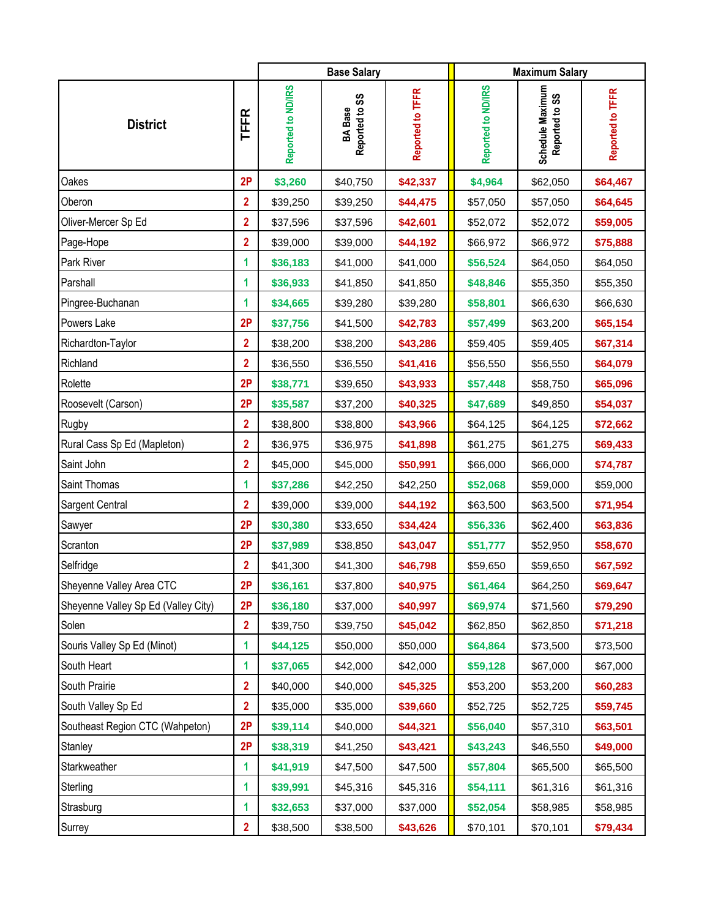|                                     |                         |                    | <b>Base Salary</b>               |                  | <b>Maximum Salary</b> |                                    |                  |
|-------------------------------------|-------------------------|--------------------|----------------------------------|------------------|-----------------------|------------------------------------|------------------|
| <b>District</b>                     | <b>TFFR</b>             | Reported to ND/IRS | Reported to SS<br><b>BA</b> Base | Reported to TFFR | Reported to ND/IRS    | Schedule Maximum<br>Reported to SS | Reported to TFFR |
| Oakes                               | 2P                      | \$3,260            | \$40,750                         | \$42,337         | \$4,964               | \$62,050                           | \$64,467         |
| Oberon                              | $\overline{2}$          | \$39,250           | \$39,250                         | \$44,475         | \$57,050              | \$57,050                           | \$64,645         |
| Oliver-Mercer Sp Ed                 | $\overline{2}$          | \$37,596           | \$37,596                         | \$42,601         | \$52,072              | \$52,072                           | \$59,005         |
| Page-Hope                           | $\overline{2}$          | \$39,000           | \$39,000                         | \$44,192         | \$66,972              | \$66,972                           | \$75,888         |
| Park River                          | 1                       | \$36,183           | \$41,000                         | \$41,000         | \$56,524              | \$64,050                           | \$64,050         |
| Parshall                            | 1                       | \$36,933           | \$41,850                         | \$41,850         | \$48,846              | \$55,350                           | \$55,350         |
| Pingree-Buchanan                    | 1                       | \$34,665           | \$39,280                         | \$39,280         | \$58,801              | \$66,630                           | \$66,630         |
| Powers Lake                         | 2P                      | \$37,756           | \$41,500                         | \$42,783         | \$57,499              | \$63,200                           | \$65,154         |
| Richardton-Taylor                   | $\overline{\mathbf{2}}$ | \$38,200           | \$38,200                         | \$43,286         | \$59,405              | \$59,405                           | \$67,314         |
| Richland                            | $\mathbf{2}$            | \$36,550           | \$36,550                         | \$41,416         | \$56,550              | \$56,550                           | \$64,079         |
| Rolette                             | 2P                      | \$38,771           | \$39,650                         | \$43,933         | \$57,448              | \$58,750                           | \$65,096         |
| Roosevelt (Carson)                  | 2P                      | \$35,587           | \$37,200                         | \$40,325         | \$47,689              | \$49,850                           | \$54,037         |
| Rugby                               | $\overline{2}$          | \$38,800           | \$38,800                         | \$43,966         | \$64,125              | \$64,125                           | \$72,662         |
| Rural Cass Sp Ed (Mapleton)         | $\overline{2}$          | \$36,975           | \$36,975                         | \$41,898         | \$61,275              | \$61,275                           | \$69,433         |
| Saint John                          | $\overline{2}$          | \$45,000           | \$45,000                         | \$50,991         | \$66,000              | \$66,000                           | \$74,787         |
| Saint Thomas                        | 1                       | \$37,286           | \$42,250                         | \$42,250         | \$52,068              | \$59,000                           | \$59,000         |
| Sargent Central                     | $\mathbf{2}$            | \$39,000           | \$39,000                         | \$44,192         | \$63,500              | \$63,500                           | \$71,954         |
| Sawyer                              | 2P                      | \$30,380           | \$33,650                         | \$34,424         | \$56,336              | \$62,400                           | \$63,836         |
| Scranton                            | 2P                      | \$37,989           | \$38,850                         | \$43,047         | \$51,777              | \$52,950                           | \$58,670         |
| Selfridge                           | $\overline{2}$          | \$41,300           | \$41,300                         | \$46,798         | \$59,650              | \$59,650                           | \$67,592         |
| Sheyenne Valley Area CTC            | 2P                      | \$36,161           | \$37,800                         | \$40,975         | \$61,464              | \$64,250                           | \$69,647         |
| Sheyenne Valley Sp Ed (Valley City) | 2P                      | \$36,180           | \$37,000                         | \$40,997         | \$69,974              | \$71,560                           | \$79,290         |
| Solen                               | $\overline{2}$          | \$39,750           | \$39,750                         | \$45,042         | \$62,850              | \$62,850                           | \$71,218         |
| Souris Valley Sp Ed (Minot)         | 1                       | \$44,125           | \$50,000                         | \$50,000         | \$64,864              | \$73,500                           | \$73,500         |
| South Heart                         | 1                       | \$37,065           | \$42,000                         | \$42,000         | \$59,128              | \$67,000                           | \$67,000         |
| South Prairie                       | $\overline{2}$          | \$40,000           | \$40,000                         | \$45,325         | \$53,200              | \$53,200                           | \$60,283         |
| South Valley Sp Ed                  | $\overline{2}$          | \$35,000           | \$35,000                         | \$39,660         | \$52,725              | \$52,725                           | \$59,745         |
| Southeast Region CTC (Wahpeton)     | 2P                      | \$39,114           | \$40,000                         | \$44,321         | \$56,040              | \$57,310                           | \$63,501         |
| Stanley                             | 2P                      | \$38,319           | \$41,250                         | \$43,421         | \$43,243              | \$46,550                           | \$49,000         |
| Starkweather                        | 1                       | \$41,919           | \$47,500                         | \$47,500         | \$57,804              | \$65,500                           | \$65,500         |
| Sterling                            | 1                       | \$39,991           | \$45,316                         | \$45,316         | \$54,111              | \$61,316                           | \$61,316         |
| Strasburg                           | 1                       | \$32,653           | \$37,000                         | \$37,000         | \$52,054              | \$58,985                           | \$58,985         |
| Surrey                              | $\overline{2}$          | \$38,500           | \$38,500                         | \$43,626         | \$70,101              | \$70,101                           | \$79,434         |